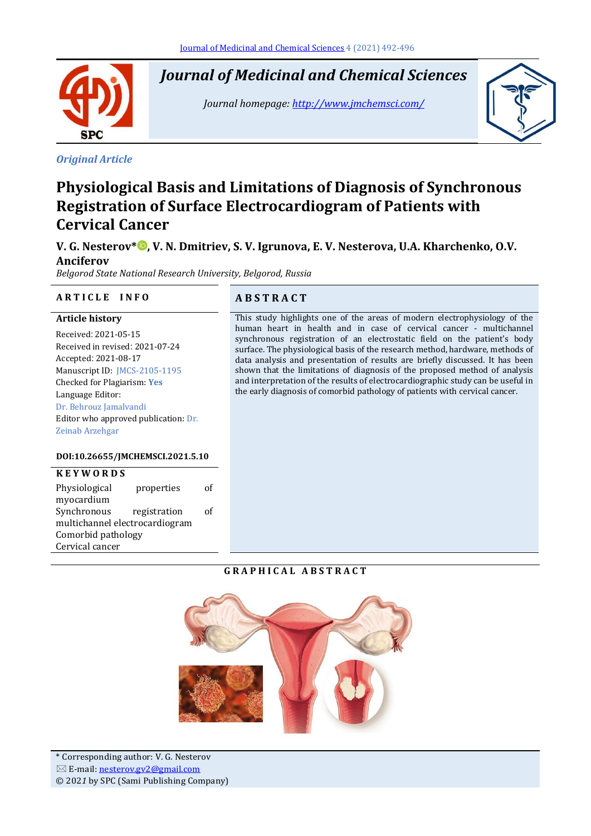*Journal of Medicinal and Chemical Sciences*

*Journal homepage[: http://www.jmchemsci.com/](http://www.jmchemsci.com/)*



# *Original Article*

**SPC** 

Ī

# **Physiological Basis and Limitations of Diagnosis of Synchronous Registration of Surface Electrocardiogram of Patients with Cervical Cancer**

**V. G. Nesterov\* [,](https://orcid.org/0000-0003-4522-713X) V. N. Dmitriev, S. V. Igrunova, E. V. Nesterova, U.A. Kharchenko, O.V. Anciferov**

*Belgorod State National Research University, Belgorod, Russia*

### **A R T I C L E I N F O A B S T R A C T**

#### **Article history**

Received: 2021-05-15 Received in revised: 2021-07-24 Accepted: 2021-08-17 Manuscript ID: JMCS-2105-1195 Checked for Plagiarism: **Yes** Language Editor: Dr. Behrouz Jamalvandi Editor who approved publication: Dr. Zeinab Arzehgar

#### **DOI:10.26655/JMCHEMSCI.2021.5.10**

| <b>KEYWORDS</b>                |              |    |
|--------------------------------|--------------|----|
| Physiological                  | properties   | οf |
| myocardium                     |              |    |
| Synchronous                    | registration | οf |
| multichannel electrocardiogram |              |    |
| Comorbid pathology             |              |    |
| Cervical cancer                |              |    |

This study highlights one of the areas of modern electrophysiology of the human heart in health and in case of cervical cancer - multichannel synchronous registration of an electrostatic field on the patient's body surface. The physiological basis of the research method, hardware, methods of data analysis and presentation of results are briefly discussed. It has been shown that the limitations of diagnosis of the proposed method of analysis and interpretation of the results of electrocardiographic study can be useful in the early diagnosis of comorbid pathology of patients with cervical cancer.

#### **G R A P H I C A L A B S T R A C T**

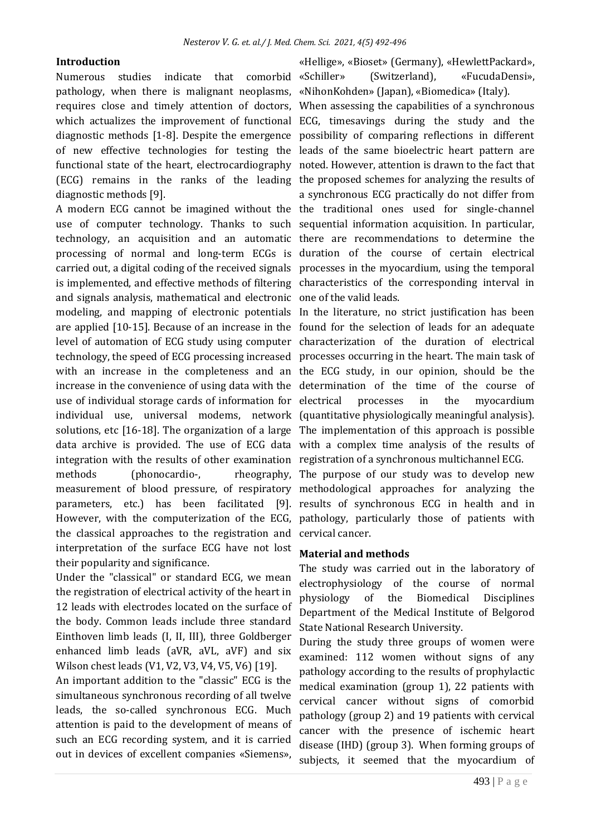#### **Introduction**

Numerous studies indicate that comorbid «Schiller» pathology, when there is malignant neoplasms, «NihonKohden» (Japan), «Biomedica» (Italy). requires close and timely attention of doctors, When assessing the capabilities of a synchronous which actualizes the improvement of functional ECG, timesavings during the study and the diagnostic methods [1-8]. Despite the emergence possibility of comparing reflections in different of new effective technologies for testing the leads of the same bioelectric heart pattern are functional state of the heart, electrocardiography noted. However, attention is drawn to the fact that (ECG) remains in the ranks of the leading the proposed schemes for analyzing the results of diagnostic methods [9].

A modern ECG cannot be imagined without the the traditional ones used for single-channel use of computer technology. Thanks to such sequential information acquisition. In particular, technology, an acquisition and an automatic there are recommendations to determine the processing of normal and long-term ECGs is duration of the course of certain electrical carried out, a digital coding of the received signals processes in the myocardium, using the temporal is implemented, and effective methods of filtering characteristics of the corresponding interval in and signals analysis, mathematical and electronic one of the valid leads. modeling, and mapping of electronic potentials In the literature, no strict justification has been are applied [10-15]. Because of an increase in the found for the selection of leads for an adequate level of automation of ECG study using computer characterization of the duration of electrical technology, the speed of ECG processing increased processes occurring in the heart. The main task of with an increase in the completeness and an the ECG study, in our opinion, should be the increase in the convenience of using data with the determination of the time of the course of use of individual storage cards of information for individual use, universal modems, network (quantitative physiologically meaningful analysis). solutions, etc [16-18]. The organization of a large The implementation of this approach is possible data archive is provided. The use of ECG data with a complex time analysis of the results of integration with the results of other examination registration of a synchronous multichannel ECG. methods (phonocardio-, measurement of blood pressure, of respiratory methodological approaches for analyzing the parameters, etc.) has been facilitated [9]. results of synchronous ECG in health and in However, with the computerization of the ECG, pathology, particularly those of patients with the classical approaches to the registration and cervical cancer. interpretation of the surface ECG have not lost their popularity and significance.

Under the "classical" or standard ECG, we mean the registration of electrical activity of the heart in 12 leads with electrodes located on the surface of the body. Common leads include three standard Einthoven limb leads (I, II, III), three Goldberger enhanced limb leads (aVR, aVL, aVF) and six Wilson chest leads (V1, V2, V3, V4, V5, V6) [19].

An important addition to the "classic" ECG is the simultaneous synchronous recording of all twelve leads, the so-called synchronous ECG. Much attention is paid to the development of means of such an ECG recording system, and it is carried out in devices of excellent companies «Siemens»,

«Hellige», «Bioset» (Germany), «HewlettPackard», (Switzerland), «FucudaDensi»,

a synchronous ECG practically do not differ from

processes in the myocardium

rheography, The purpose of our study was to develop new

## **Material and methods**

The study was carried out in the laboratory of electrophysiology of the course of normal physiology of the Biomedical Disciplines Department of the Medical Institute of Belgorod State National Research University.

During the study three groups of women were examined: 112 women without signs of any pathology according to the results of prophylactic medical examination (group 1), 22 patients with cervical cancer without signs of comorbid pathology (group 2) and 19 patients with cervical cancer with the presence of ischemic heart disease (IHD) (group 3). When forming groups of subjects, it seemed that the myocardium of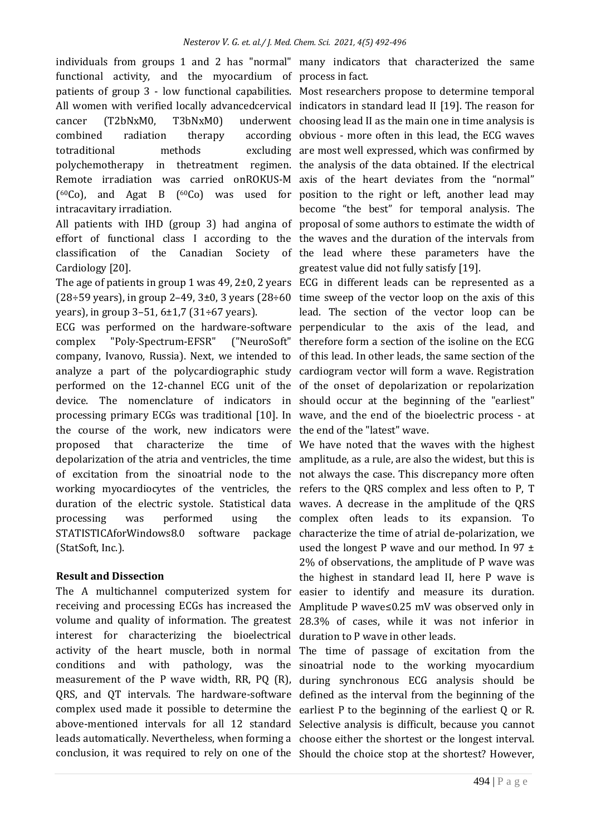individuals from groups 1 and 2 has "normal" many indicators that characterized the same functional activity, and the myocardium of process in fact. patients of group 3 - low functional capabilities. Most researchers propose to determine temporal All women with verified locally advancedcervical indicators in standard lead II [19]. The reason for cancer (T2bNxM0, T3bNxM0) underwent choosing lead II as the main one in time analysis is combined radiation therapy according obvious - more often in this lead, the ECG waves totraditional methods polychemotherapy in thetreatment regimen. the analysis of the data obtained. If the electrical Remote irradiation was carried onROKUS-M axis of the heart deviates from the "normal" ( <sup>60</sup>Co), and Agat B (60Co) was used for position to the right or left, another lead may intracavitary irradiation.

All patients with IHD (group 3) had angina of proposal of some authors to estimate the width of effort of functional class I according to the the waves and the duration of the intervals from classification of the Canadian Society Cardiology [20].

The age of patients in group 1 was 49, 2±0, 2 years ECG in different leads can be represented as a  $(28 \div 59 \text{ years})$ , in group 2-49, 3 $\pm 0$ , 3 years  $(28 \div 60 \text{ time sweep of the vector loop on the axis of this})$ years), in group 3–51, 6±1,7 (31÷67 years).

ECG was performed on the hardware-software perpendicular to the axis of the lead, and complex "Poly-Spectrum-EFSR" company, Ivanovo, Russia). Next, we intended to of this lead. In other leads, the same section of the analyze a part of the polycardiographic study cardiogram vector will form a wave. Registration performed on the 12-channel ECG unit of the of the onset of depolarization or repolarization device. The nomenclature of indicators in should occur at the beginning of the "earliest" processing primary ECGs was traditional [10]. In wave, and the end of the bioelectric process - at the course of the work, new indicators were the end of the "latest" wave. proposed that characterize the time of We have noted that the waves with the highest depolarization of the atria and ventricles, the time amplitude, as a rule, are also the widest, but this is of excitation from the sinoatrial node to the not always the case. This discrepancy more often working myocardiocytes of the ventricles, the refers to the QRS complex and less often to P, T duration of the electric systole. Statistical data waves. A decrease in the amplitude of the QRS processing was performed using STATISTICAforWindows8.0 (StatSoft, Inc.).

#### **Result and Dissection**

The A multichannel computerized system for easier to identify and measure its duration. receiving and processing ECGs has increased the Amplitude P wave≤0.25 mV was observed only in volume and quality of information. The greatest 28.3% of cases, while it was not inferior in interest for characterizing the bioelectrical duration to P wave in other leads. activity of the heart muscle, both in normal The time of passage of excitation from the conditions and with pathology, was the sinoatrial node to the working myocardium measurement of the P wave width, RR, PQ (R), during synchronous ECG analysis should be QRS, and QT intervals. The hardware-software defined as the interval from the beginning of the complex used made it possible to determine the earliest P to the beginning of the earliest  $Q$  or R. above-mentioned intervals for all 12 standard Selective analysis is difficult, because you cannot leads automatically. Nevertheless, when forming a choose either the shortest or the longest interval. conclusion, it was required to rely on one of the Should the choice stop at the shortest? However,

excluding are most well expressed, which was confirmed by become "the best" for temporal analysis. The of the lead where these parameters have the greatest value did not fully satisfy [19].

lead. The section of the vector loop can be ("NeuroSoft" therefore form a section of the isoline on the ECG

complex often leads to its expansion. To software package characterize the time of atrial de-polarization, we used the longest P wave and our method. In 97  $\pm$ 2% of observations, the amplitude of P wave was the highest in standard lead II, here P wave is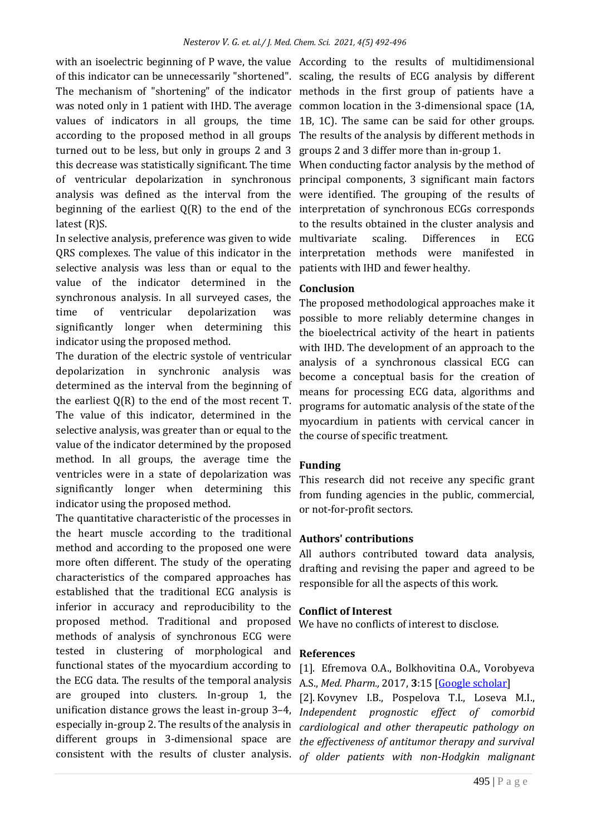with an isoelectric beginning of P wave, the value According to the results of multidimensional of this indicator can be unnecessarily "shortened". scaling, the results of ECG analysis by different The mechanism of "shortening" of the indicator methods in the first group of patients have a was noted only in 1 patient with IHD. The average common location in the 3-dimensional space (1A, values of indicators in all groups, the time 1B, 1C). The same can be said for other groups. according to the proposed method in all groups The results of the analysis by different methods in turned out to be less, but only in groups 2 and 3 groups 2 and 3 differ more than in-group 1. this decrease was statistically significant. The time When conducting factor analysis by the method of of ventricular depolarization in synchronous principal components, 3 significant main factors analysis was defined as the interval from the were identified. The grouping of the results of beginning of the earliest Q(R) to the end of the interpretation of synchronous ECGs corresponds latest (R)S.

In selective analysis, preference was given to wide multivariate scaling. Differences in ECG QRS complexes. The value of this indicator in the interpretation methods were manifested in selective analysis was less than or equal to the value of the indicator determined in the synchronous analysis. In all surveyed cases, the time of ventricular depolarization was significantly longer when determining this indicator using the proposed method.

The duration of the electric systole of ventricular depolarization in synchronic analysis was determined as the interval from the beginning of the earliest Q(R) to the end of the most recent T. The value of this indicator, determined in the selective analysis, was greater than or equal to the value of the indicator determined by the proposed method. In all groups, the average time the ventricles were in a state of depolarization was significantly longer when determining this indicator using the proposed method.

The quantitative characteristic of the processes in the heart muscle according to the traditional method and according to the proposed one were more often different. The study of the operating characteristics of the compared approaches has established that the traditional ECG analysis is inferior in accuracy and reproducibility to the proposed method. Traditional and proposed methods of analysis of synchronous ECG were tested in clustering of morphological and functional states of the myocardium according to the ECG data. The results of the temporal analysis are grouped into clusters. In-group 1, the unification distance grows the least in-group 3–4, especially in-group 2. The results of the analysis in different groups in 3-dimensional space are

to the results obtained in the cluster analysis and patients with IHD and fewer healthy.

# **Conclusion**

The proposed methodological approaches make it possible to more reliably determine changes in the bioelectrical activity of the heart in patients with IHD. The development of an approach to the analysis of a synchronous classical ECG can become a conceptual basis for the creation of means for processing ECG data, algorithms and programs for automatic analysis of the state of the myocardium in patients with cervical cancer in the course of specific treatment.

# **Funding**

This research did not receive any specific grant from funding agencies in the public, commercial, or not-for-profit sectors.

# **Authors' contributions**

All authors contributed toward data analysis, drafting and revising the paper and agreed to be responsible for all the aspects of this work.

# **Conflict of Interest**

We have no conflicts of interest to disclose.

# **References**

[1]. Efremova O.A., Bolkhovitina O.A., Vorobyeva A.S., *Med. Pharm.,* 2017, **3**:15 [\[Google scholar\]](https://scholar.google.com/scholar?hl=en&as_sdt=0%2C5&q=%22Interest+of+doctors+and+patients+with+chronic+heart+failure+in+active+out-patient+observation+and+training.+&btnG=)

consistent with the results of cluster analysis. *of older patients with non-Hodgkin malignant* [2]. Kovynev I.B., Pospelova T.I., Loseva M.I., *Independent prognostic effect of comorbid cardiological and other therapeutic pathology on the effectiveness of antitumor therapy and survival*